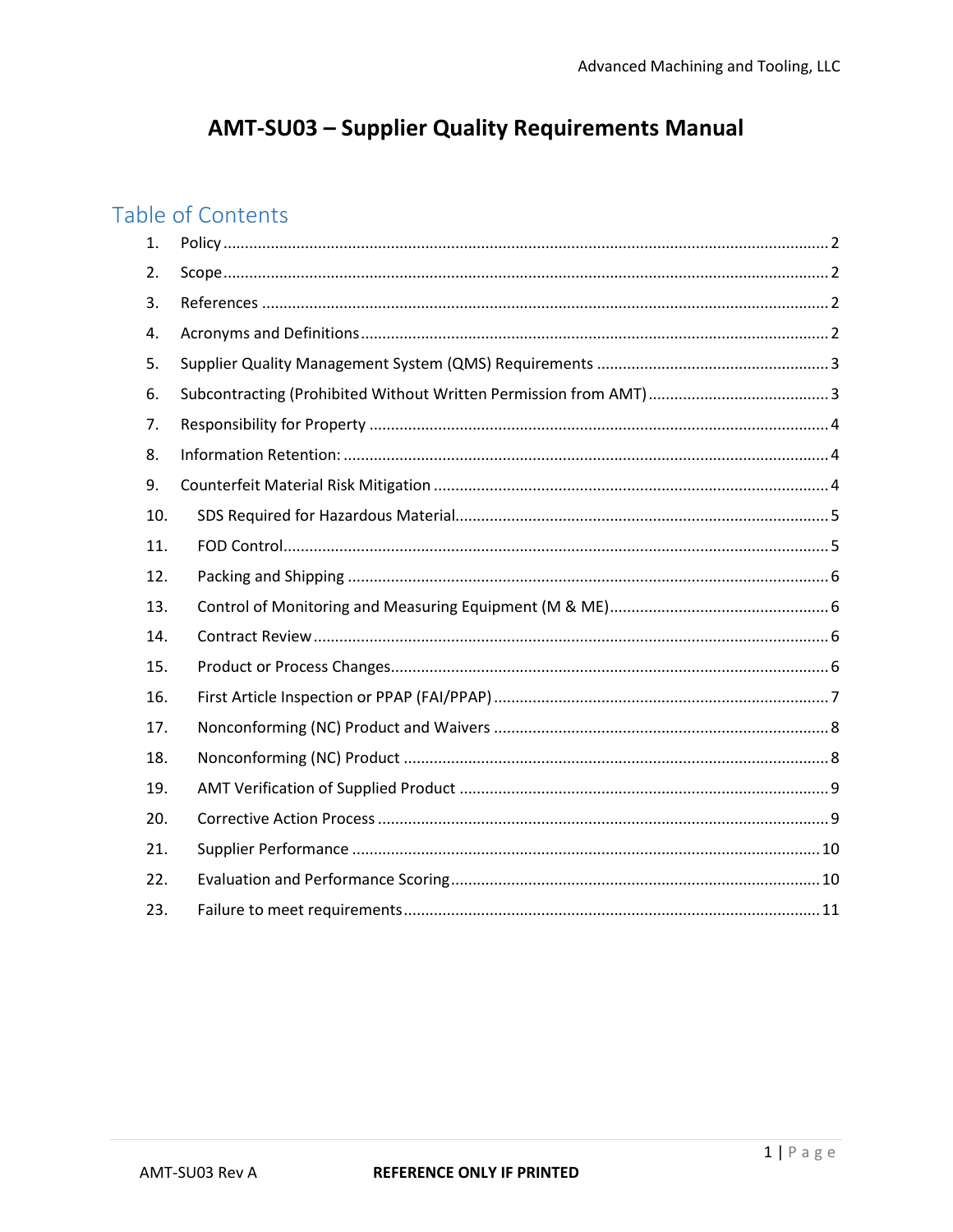# **AMT-SU03 - Supplier Quality Requirements Manual**

## Table of Contents

| 1.  |  |
|-----|--|
| 2.  |  |
| 3.  |  |
| 4.  |  |
| 5.  |  |
| 6.  |  |
| 7.  |  |
| 8.  |  |
| 9.  |  |
| 10. |  |
| 11. |  |
| 12. |  |
| 13. |  |
| 14. |  |
| 15. |  |
| 16. |  |
| 17. |  |
| 18. |  |
| 19. |  |
| 20. |  |
| 21. |  |
| 22. |  |
| 23. |  |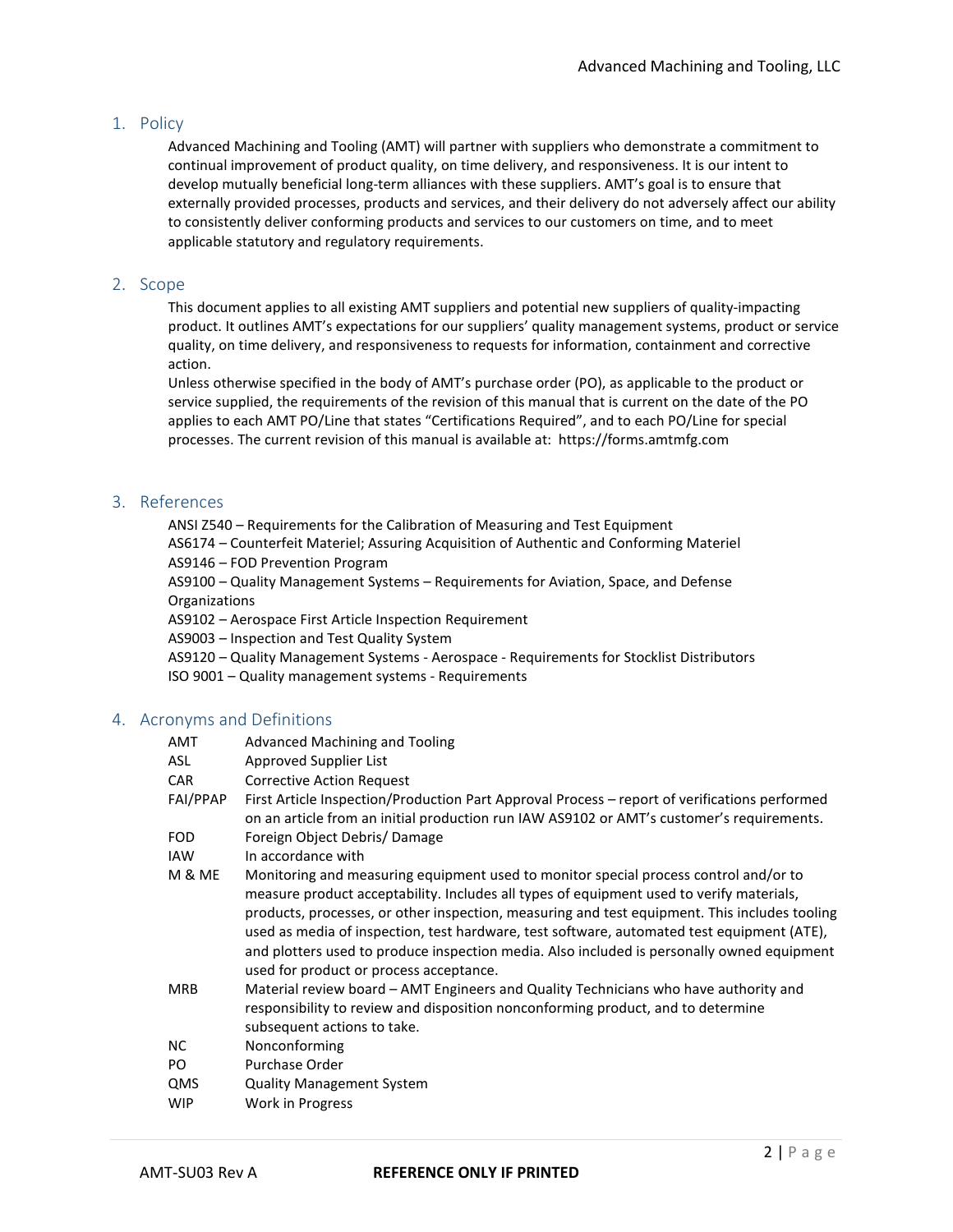## 1. Policy

Advanced Machining and Tooling (AMT) will partner with suppliers who demonstrate a commitment to continual improvement of product quality, on time delivery, and responsiveness. It is our intent to develop mutually beneficial long-term alliances with these suppliers. AMT's goal is to ensure that externally provided processes, products and services, and their delivery do not adversely affect our ability to consistently deliver conforming products and services to our customers on time, and to meet applicable statutory and regulatory requirements.

## 2. Scope

This document applies to all existing AMT suppliers and potential new suppliers of quality-impacting product. It outlines AMT's expectations for our suppliers' quality management systems, product or service quality, on time delivery, and responsiveness to requests for information, containment and corrective action.

Unless otherwise specified in the body of AMT's purchase order (PO), as applicable to the product or service supplied, the requirements of the revision of this manual that is current on the date of the PO applies to each AMT PO/Line that states "Certifications Required", and to each PO/Line for special processes. The current revision of this manual is available at: https://forms.amtmfg.com

#### 3. References

ANSI Z540 – Requirements for the Calibration of Measuring and Test Equipment

AS6174 – Counterfeit Materiel; Assuring Acquisition of Authentic and Conforming Materiel AS9146 – FOD Prevention Program

AS9100 – Quality Management Systems – Requirements for Aviation, Space, and Defense Organizations

AS9102 – Aerospace First Article Inspection Requirement

AS9003 – Inspection and Test Quality System

- AS9120 Quality Management Systems Aerospace Requirements for Stocklist Distributors
- ISO 9001 Quality management systems Requirements

#### 4. Acronyms and Definitions

| AMT        | Advanced Machining and Tooling                                                                                                                                                                                                                                                                                                                                                                                                                                                                                           |
|------------|--------------------------------------------------------------------------------------------------------------------------------------------------------------------------------------------------------------------------------------------------------------------------------------------------------------------------------------------------------------------------------------------------------------------------------------------------------------------------------------------------------------------------|
| ASL        | Approved Supplier List                                                                                                                                                                                                                                                                                                                                                                                                                                                                                                   |
| <b>CAR</b> | <b>Corrective Action Request</b>                                                                                                                                                                                                                                                                                                                                                                                                                                                                                         |
| FAI/PPAP   | First Article Inspection/Production Part Approval Process – report of verifications performed<br>on an article from an initial production run IAW AS9102 or AMT's customer's requirements.                                                                                                                                                                                                                                                                                                                               |
| <b>FOD</b> | Foreign Object Debris/Damage                                                                                                                                                                                                                                                                                                                                                                                                                                                                                             |
| <b>IAW</b> | In accordance with                                                                                                                                                                                                                                                                                                                                                                                                                                                                                                       |
| M & ME     | Monitoring and measuring equipment used to monitor special process control and/or to<br>measure product acceptability. Includes all types of equipment used to verify materials,<br>products, processes, or other inspection, measuring and test equipment. This includes tooling<br>used as media of inspection, test hardware, test software, automated test equipment (ATE),<br>and plotters used to produce inspection media. Also included is personally owned equipment<br>used for product or process acceptance. |
| <b>MRB</b> | Material review board – AMT Engineers and Quality Technicians who have authority and<br>responsibility to review and disposition nonconforming product, and to determine<br>subsequent actions to take.                                                                                                                                                                                                                                                                                                                  |
| NC.        | Nonconforming                                                                                                                                                                                                                                                                                                                                                                                                                                                                                                            |
| PO.        | Purchase Order                                                                                                                                                                                                                                                                                                                                                                                                                                                                                                           |
| QMS        | <b>Quality Management System</b>                                                                                                                                                                                                                                                                                                                                                                                                                                                                                         |
| <b>WIP</b> | Work in Progress                                                                                                                                                                                                                                                                                                                                                                                                                                                                                                         |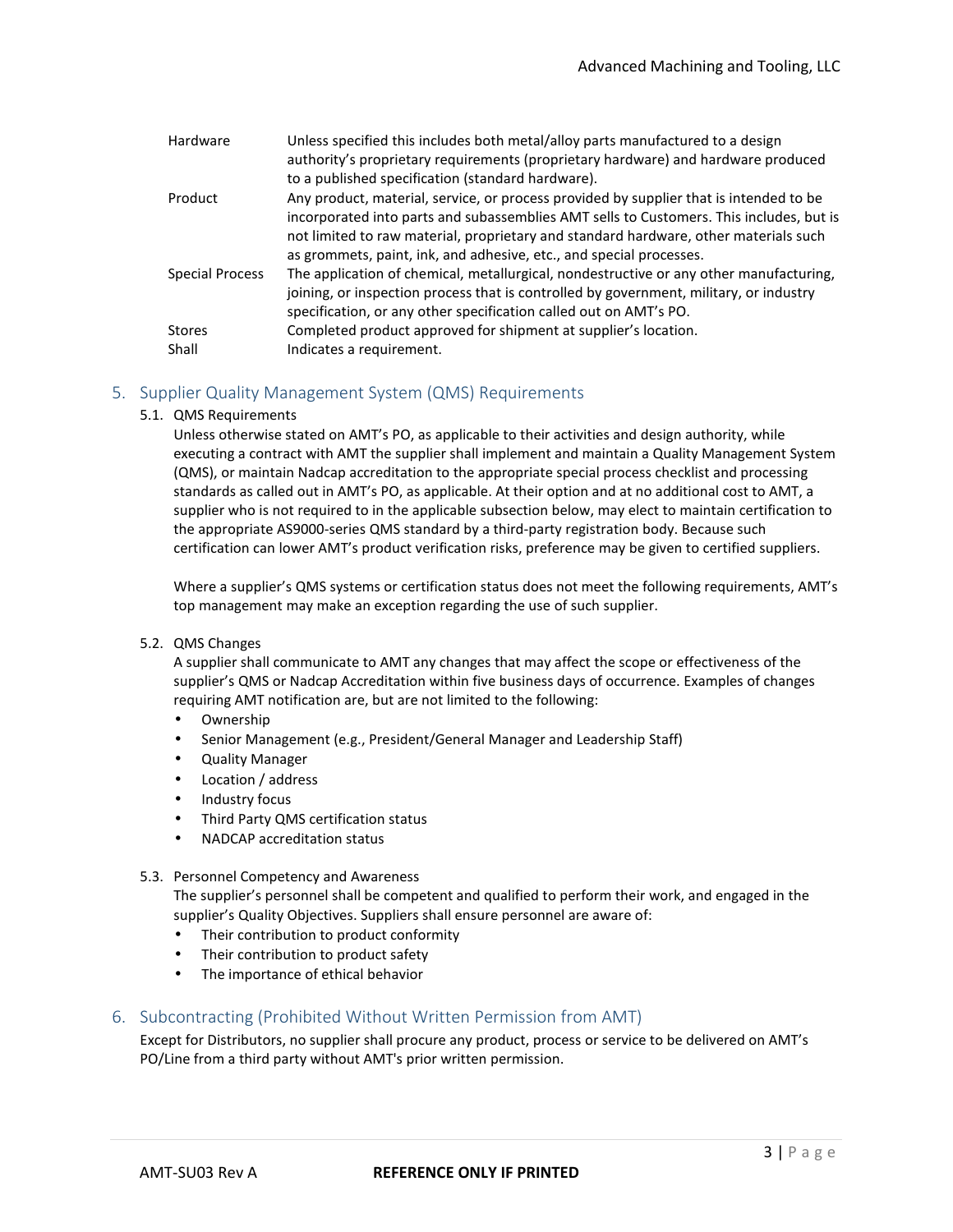| Unless specified this includes both metal/alloy parts manufactured to a design          |
|-----------------------------------------------------------------------------------------|
| authority's proprietary requirements (proprietary hardware) and hardware produced       |
| to a published specification (standard hardware).                                       |
| Any product, material, service, or process provided by supplier that is intended to be  |
| incorporated into parts and subassemblies AMT sells to Customers. This includes, but is |
| not limited to raw material, proprietary and standard hardware, other materials such    |
| as grommets, paint, ink, and adhesive, etc., and special processes.                     |
| The application of chemical, metallurgical, nondestructive or any other manufacturing,  |
| joining, or inspection process that is controlled by government, military, or industry  |
| specification, or any other specification called out on AMT's PO.                       |
| Completed product approved for shipment at supplier's location.                         |
| Indicates a requirement.                                                                |
|                                                                                         |

## 5. Supplier Quality Management System (QMS) Requirements

5.1. QMS Requirements

Unless otherwise stated on AMT's PO, as applicable to their activities and design authority, while executing a contract with AMT the supplier shall implement and maintain a Quality Management System (QMS), or maintain Nadcap accreditation to the appropriate special process checklist and processing standards as called out in AMT's PO, as applicable. At their option and at no additional cost to AMT, a supplier who is not required to in the applicable subsection below, may elect to maintain certification to the appropriate AS9000-series QMS standard by a third-party registration body. Because such certification can lower AMT's product verification risks, preference may be given to certified suppliers.

Where a supplier's QMS systems or certification status does not meet the following requirements, AMT's top management may make an exception regarding the use of such supplier.

5.2. QMS Changes

A supplier shall communicate to AMT any changes that may affect the scope or effectiveness of the supplier's QMS or Nadcap Accreditation within five business days of occurrence. Examples of changes requiring AMT notification are, but are not limited to the following:

- Ownership
- Senior Management (e.g., President/General Manager and Leadership Staff)
- Quality Manager
- Location / address
- Industry focus
- Third Party QMS certification status
- NADCAP accreditation status

#### 5.3. Personnel Competency and Awareness

The supplier's personnel shall be competent and qualified to perform their work, and engaged in the supplier's Quality Objectives. Suppliers shall ensure personnel are aware of:

- Their contribution to product conformity
- Their contribution to product safety
- The importance of ethical behavior

#### 6. Subcontracting (Prohibited Without Written Permission from AMT)

Except for Distributors, no supplier shall procure any product, process or service to be delivered on AMT's PO/Line from a third party without AMT's prior written permission.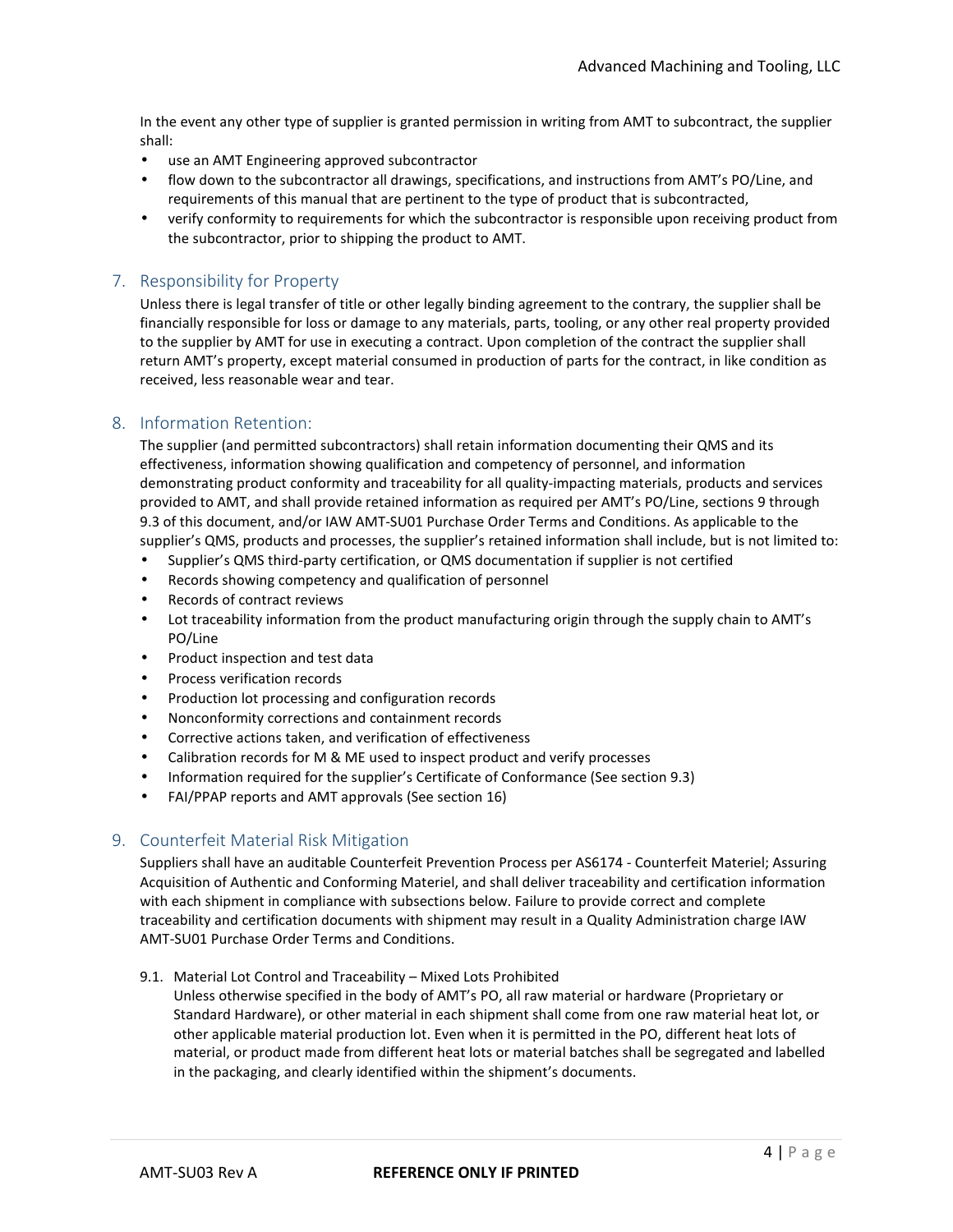In the event any other type of supplier is granted permission in writing from AMT to subcontract, the supplier shall:

- use an AMT Engineering approved subcontractor
- flow down to the subcontractor all drawings, specifications, and instructions from AMT's PO/Line, and requirements of this manual that are pertinent to the type of product that is subcontracted,
- verify conformity to requirements for which the subcontractor is responsible upon receiving product from the subcontractor, prior to shipping the product to AMT.

## 7. Responsibility for Property

Unless there is legal transfer of title or other legally binding agreement to the contrary, the supplier shall be financially responsible for loss or damage to any materials, parts, tooling, or any other real property provided to the supplier by AMT for use in executing a contract. Upon completion of the contract the supplier shall return AMT's property, except material consumed in production of parts for the contract, in like condition as received, less reasonable wear and tear.

## 8. Information Retention:

The supplier (and permitted subcontractors) shall retain information documenting their QMS and its effectiveness, information showing qualification and competency of personnel, and information demonstrating product conformity and traceability for all quality-impacting materials, products and services provided to AMT, and shall provide retained information as required per AMT's PO/Line, sections 9 through 9.3 of this document, and/or IAW AMT-SU01 Purchase Order Terms and Conditions. As applicable to the supplier's QMS, products and processes, the supplier's retained information shall include, but is not limited to:

- Supplier's QMS third-party certification, or QMS documentation if supplier is not certified
- Records showing competency and qualification of personnel
- Records of contract reviews
- Lot traceability information from the product manufacturing origin through the supply chain to AMT's PO/Line
- Product inspection and test data
- Process verification records
- Production lot processing and configuration records
- Nonconformity corrections and containment records
- Corrective actions taken, and verification of effectiveness
- Calibration records for M & ME used to inspect product and verify processes
- Information required for the supplier's Certificate of Conformance (See section 9.3)
- FAI/PPAP reports and AMT approvals (See section 16)

## 9. Counterfeit Material Risk Mitigation

Suppliers shall have an auditable Counterfeit Prevention Process per AS6174 - Counterfeit Materiel; Assuring Acquisition of Authentic and Conforming Materiel, and shall deliver traceability and certification information with each shipment in compliance with subsections below. Failure to provide correct and complete traceability and certification documents with shipment may result in a Quality Administration charge IAW AMT-SU01 Purchase Order Terms and Conditions.

9.1. Material Lot Control and Traceability – Mixed Lots Prohibited

Unless otherwise specified in the body of AMT's PO, all raw material or hardware (Proprietary or Standard Hardware), or other material in each shipment shall come from one raw material heat lot, or other applicable material production lot. Even when it is permitted in the PO, different heat lots of material, or product made from different heat lots or material batches shall be segregated and labelled in the packaging, and clearly identified within the shipment's documents.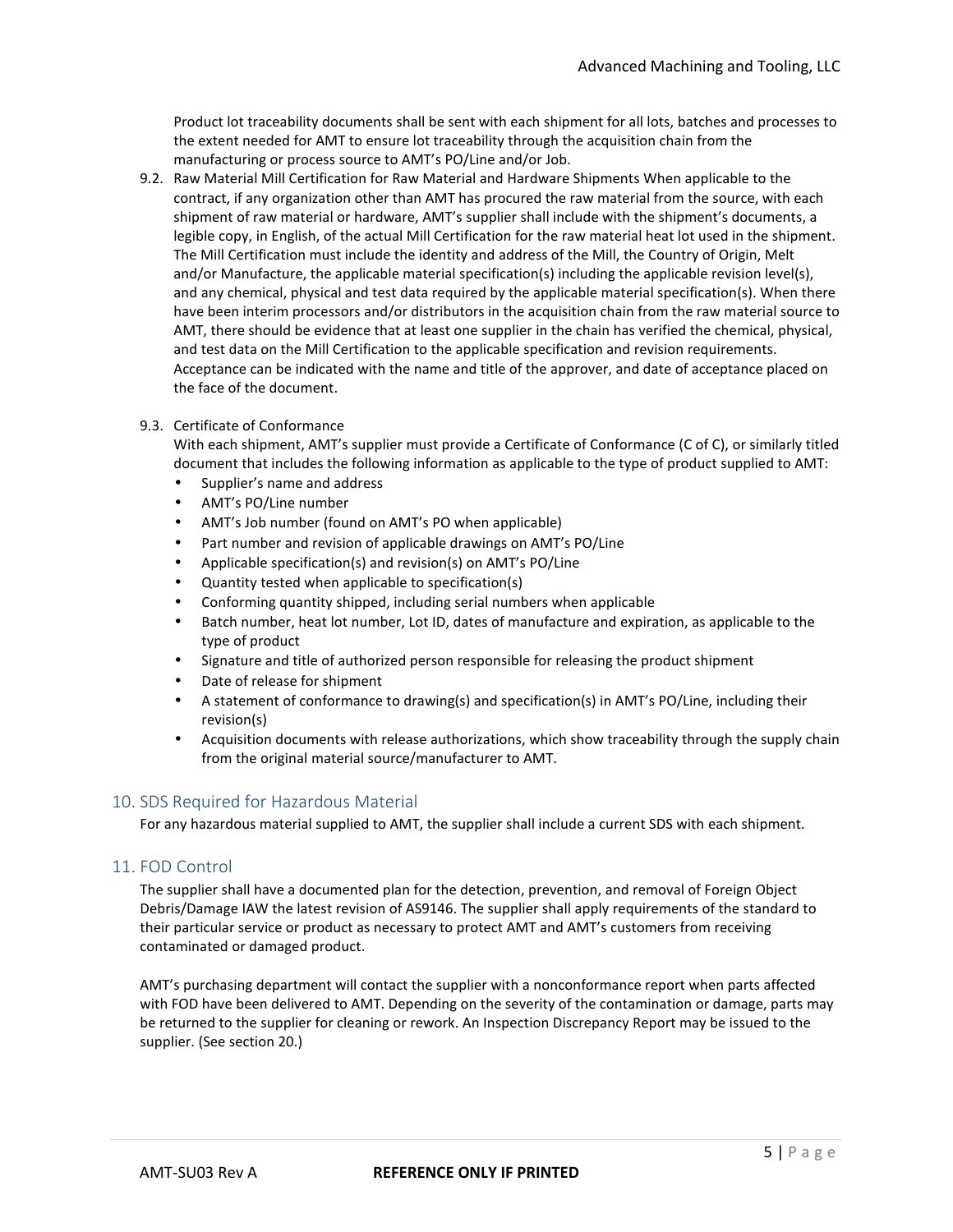Product lot traceability documents shall be sent with each shipment for all lots, batches and processes to the extent needed for AMT to ensure lot traceability through the acquisition chain from the manufacturing or process source to AMT's PO/Line and/or Job.

9.2. Raw Material Mill Certification for Raw Material and Hardware Shipments When applicable to the contract, if any organization other than AMT has procured the raw material from the source, with each shipment of raw material or hardware, AMT's supplier shall include with the shipment's documents, a legible copy, in English, of the actual Mill Certification for the raw material heat lot used in the shipment. The Mill Certification must include the identity and address of the Mill, the Country of Origin, Melt and/or Manufacture, the applicable material specification(s) including the applicable revision level(s), and any chemical, physical and test data required by the applicable material specification(s). When there have been interim processors and/or distributors in the acquisition chain from the raw material source to AMT, there should be evidence that at least one supplier in the chain has verified the chemical, physical, and test data on the Mill Certification to the applicable specification and revision requirements. Acceptance can be indicated with the name and title of the approver, and date of acceptance placed on the face of the document.

#### 9.3. Certificate of Conformance

With each shipment, AMT's supplier must provide a Certificate of Conformance (C of C), or similarly titled document that includes the following information as applicable to the type of product supplied to AMT:

- Supplier's name and address
- AMT's PO/Line number
- AMT's Job number (found on AMT's PO when applicable)
- Part number and revision of applicable drawings on AMT's PO/Line
- Applicable specification(s) and revision(s) on AMT's PO/Line
- Quantity tested when applicable to specification(s)
- Conforming quantity shipped, including serial numbers when applicable
- Batch number, heat lot number, Lot ID, dates of manufacture and expiration, as applicable to the type of product
- Signature and title of authorized person responsible for releasing the product shipment
- Date of release for shipment
- A statement of conformance to drawing(s) and specification(s) in AMT's PO/Line, including their revision(s)
- Acquisition documents with release authorizations, which show traceability through the supply chain from the original material source/manufacturer to AMT.

#### 10. SDS Required for Hazardous Material

For any hazardous material supplied to AMT, the supplier shall include a current SDS with each shipment.

#### 11. FOD Control

The supplier shall have a documented plan for the detection, prevention, and removal of Foreign Object Debris/Damage IAW the latest revision of AS9146. The supplier shall apply requirements of the standard to their particular service or product as necessary to protect AMT and AMT's customers from receiving contaminated or damaged product.

AMT's purchasing department will contact the supplier with a nonconformance report when parts affected with FOD have been delivered to AMT. Depending on the severity of the contamination or damage, parts may be returned to the supplier for cleaning or rework. An Inspection Discrepancy Report may be issued to the supplier. (See section 20.)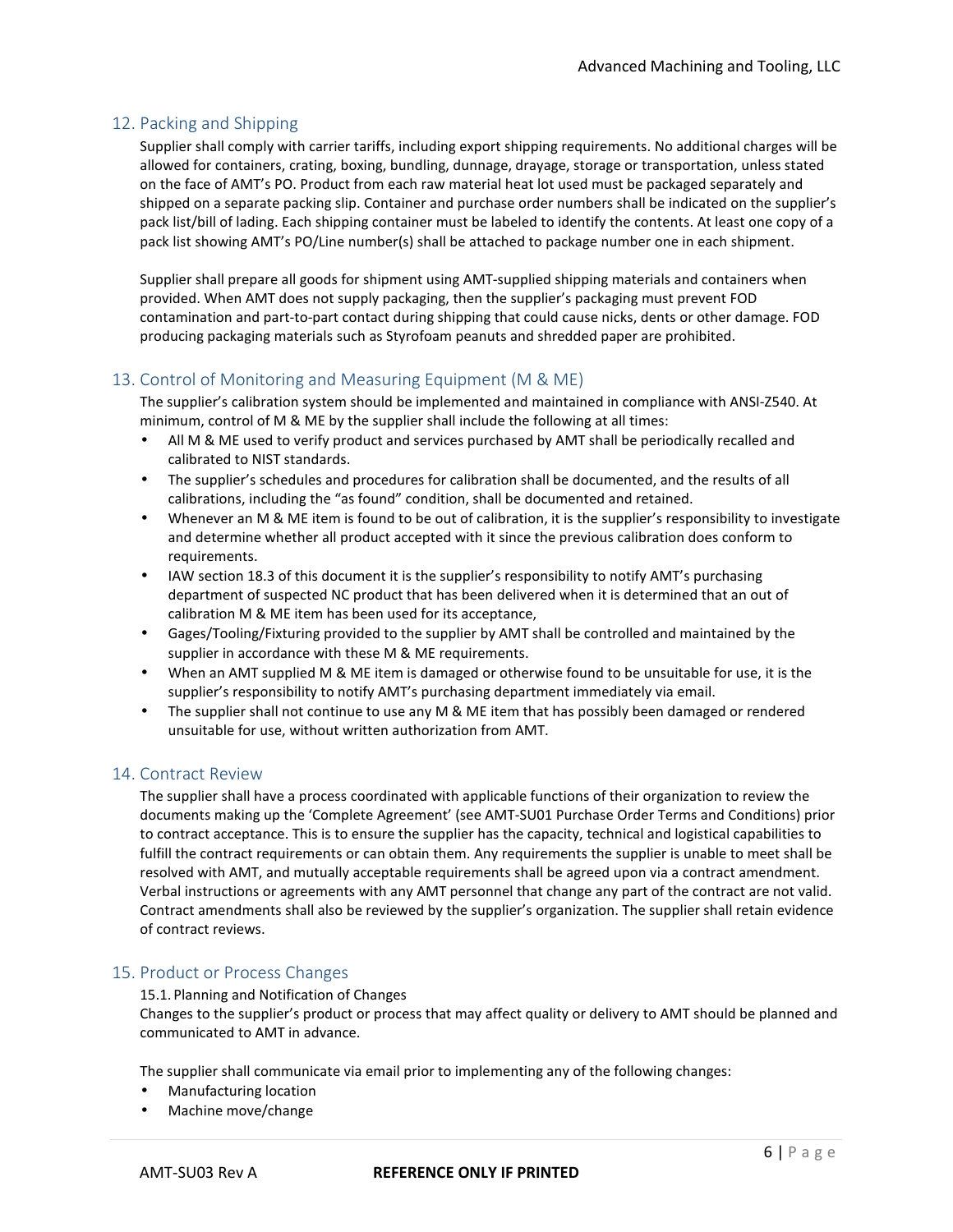## 12. Packing and Shipping

Supplier shall comply with carrier tariffs, including export shipping requirements. No additional charges will be allowed for containers, crating, boxing, bundling, dunnage, drayage, storage or transportation, unless stated on the face of AMT's PO. Product from each raw material heat lot used must be packaged separately and shipped on a separate packing slip. Container and purchase order numbers shall be indicated on the supplier's pack list/bill of lading. Each shipping container must be labeled to identify the contents. At least one copy of a pack list showing AMT's PO/Line number(s) shall be attached to package number one in each shipment.

Supplier shall prepare all goods for shipment using AMT-supplied shipping materials and containers when provided. When AMT does not supply packaging, then the supplier's packaging must prevent FOD contamination and part-to-part contact during shipping that could cause nicks, dents or other damage. FOD producing packaging materials such as Styrofoam peanuts and shredded paper are prohibited.

## 13. Control of Monitoring and Measuring Equipment (M & ME)

The supplier's calibration system should be implemented and maintained in compliance with ANSI-Z540. At minimum, control of M & ME by the supplier shall include the following at all times:

- All M & ME used to verify product and services purchased by AMT shall be periodically recalled and calibrated to NIST standards.
- The supplier's schedules and procedures for calibration shall be documented, and the results of all calibrations, including the "as found" condition, shall be documented and retained.
- Whenever an M & ME item is found to be out of calibration, it is the supplier's responsibility to investigate and determine whether all product accepted with it since the previous calibration does conform to requirements.
- IAW section 18.3 of this document it is the supplier's responsibility to notify AMT's purchasing department of suspected NC product that has been delivered when it is determined that an out of calibration M & ME item has been used for its acceptance,
- Gages/Tooling/Fixturing provided to the supplier by AMT shall be controlled and maintained by the supplier in accordance with these M & ME requirements.
- When an AMT supplied M & ME item is damaged or otherwise found to be unsuitable for use, it is the supplier's responsibility to notify AMT's purchasing department immediately via email.
- The supplier shall not continue to use any M & ME item that has possibly been damaged or rendered unsuitable for use, without written authorization from AMT.

## 14. Contract Review

The supplier shall have a process coordinated with applicable functions of their organization to review the documents making up the 'Complete Agreement' (see AMT-SU01 Purchase Order Terms and Conditions) prior to contract acceptance. This is to ensure the supplier has the capacity, technical and logistical capabilities to fulfill the contract requirements or can obtain them. Any requirements the supplier is unable to meet shall be resolved with AMT, and mutually acceptable requirements shall be agreed upon via a contract amendment. Verbal instructions or agreements with any AMT personnel that change any part of the contract are not valid. Contract amendments shall also be reviewed by the supplier's organization. The supplier shall retain evidence of contract reviews.

#### 15. Product or Process Changes

#### 15.1. Planning and Notification of Changes

Changes to the supplier's product or process that may affect quality or delivery to AMT should be planned and communicated to AMT in advance.

The supplier shall communicate via email prior to implementing any of the following changes:

- Manufacturing location
- Machine move/change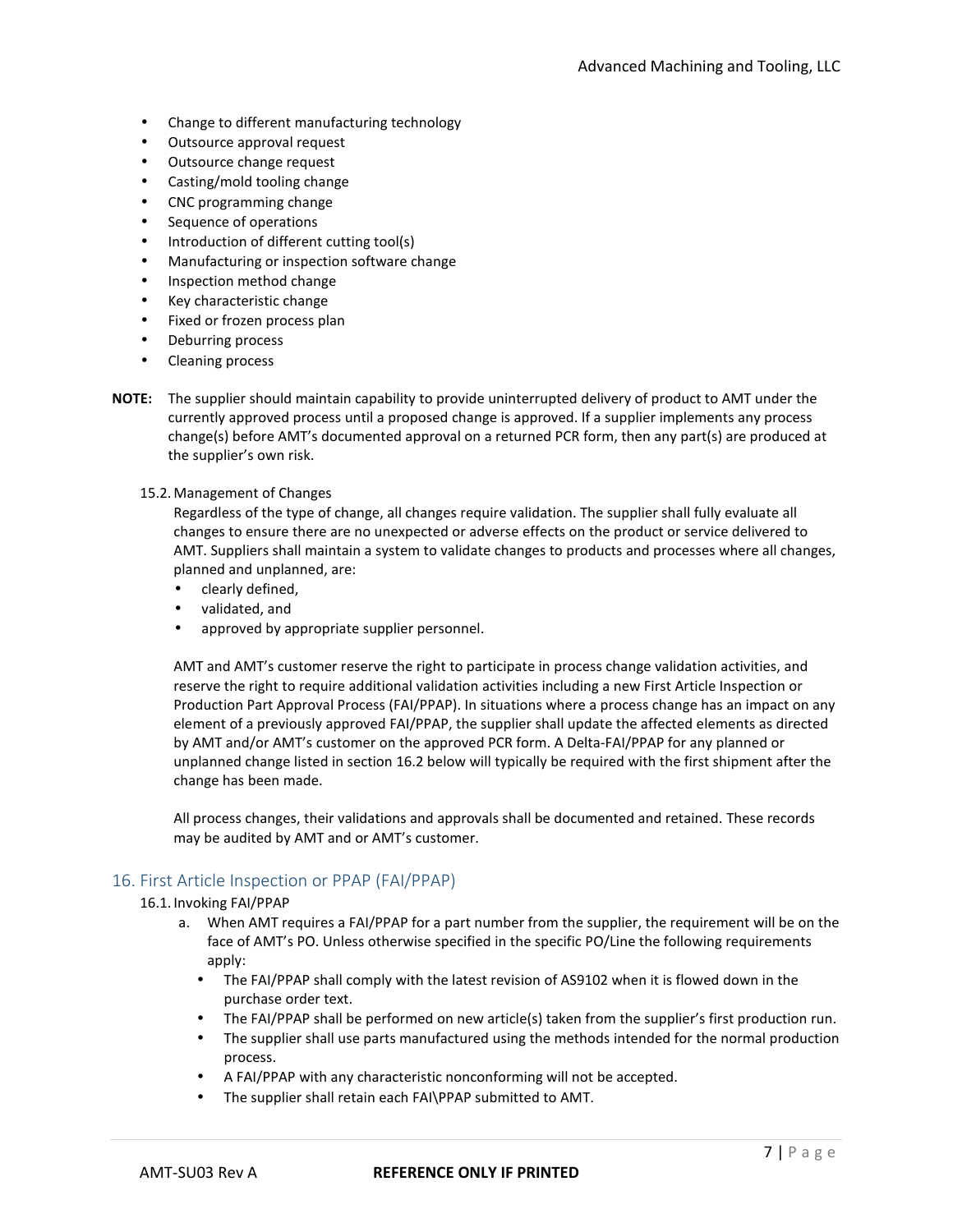- Change to different manufacturing technology
- Outsource approval request
- Outsource change request
- Casting/mold tooling change
- CNC programming change
- Sequence of operations
- Introduction of different cutting tool(s)
- Manufacturing or inspection software change
- Inspection method change
- Key characteristic change
- Fixed or frozen process plan
- Deburring process
- Cleaning process
- **NOTE:** The supplier should maintain capability to provide uninterrupted delivery of product to AMT under the currently approved process until a proposed change is approved. If a supplier implements any process change(s) before AMT's documented approval on a returned PCR form, then any part(s) are produced at the supplier's own risk.
	- 15.2. Management of Changes

Regardless of the type of change, all changes require validation. The supplier shall fully evaluate all changes to ensure there are no unexpected or adverse effects on the product or service delivered to AMT. Suppliers shall maintain a system to validate changes to products and processes where all changes, planned and unplanned, are:

- clearly defined,
- validated, and
- approved by appropriate supplier personnel.

AMT and AMT's customer reserve the right to participate in process change validation activities, and reserve the right to require additional validation activities including a new First Article Inspection or Production Part Approval Process (FAI/PPAP). In situations where a process change has an impact on any element of a previously approved FAI/PPAP, the supplier shall update the affected elements as directed by AMT and/or AMT's customer on the approved PCR form. A Delta-FAI/PPAP for any planned or unplanned change listed in section 16.2 below will typically be required with the first shipment after the change has been made.

All process changes, their validations and approvals shall be documented and retained. These records may be audited by AMT and or AMT's customer.

## 16. First Article Inspection or PPAP (FAI/PPAP)

- 16.1. Invoking FAI/PPAP
	- a. When AMT requires a FAI/PPAP for a part number from the supplier, the requirement will be on the face of AMT's PO. Unless otherwise specified in the specific PO/Line the following requirements apply:
		- The FAI/PPAP shall comply with the latest revision of AS9102 when it is flowed down in the purchase order text.
		- The FAI/PPAP shall be performed on new article(s) taken from the supplier's first production run.
		- The supplier shall use parts manufactured using the methods intended for the normal production process.
		- A FAI/PPAP with any characteristic nonconforming will not be accepted.
		- The supplier shall retain each FAI\PPAP submitted to AMT.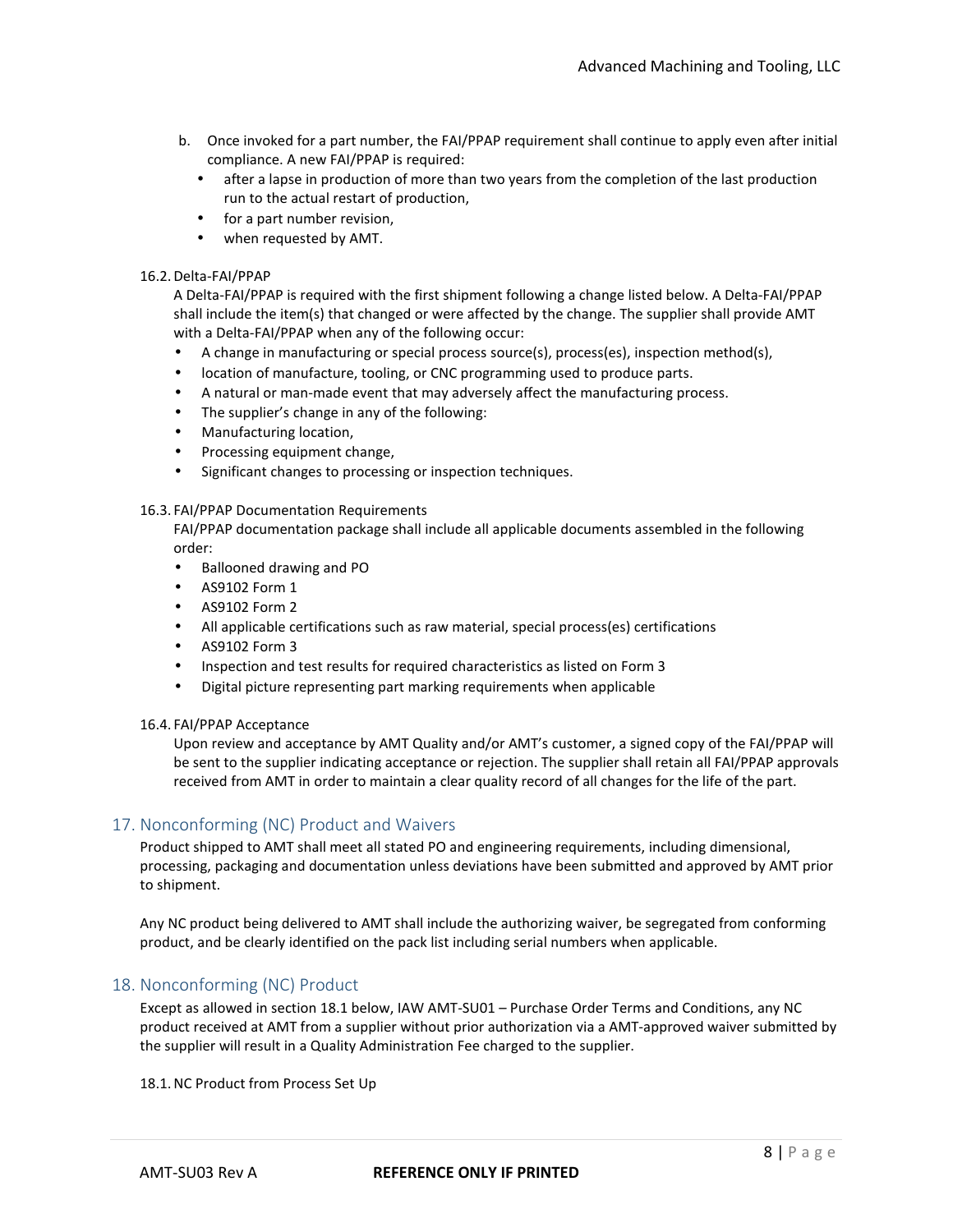- b. Once invoked for a part number, the FAI/PPAP requirement shall continue to apply even after initial compliance. A new FAI/PPAP is required:
	- after a lapse in production of more than two years from the completion of the last production run to the actual restart of production,
	- for a part number revision,
	- when requested by AMT.

#### 16.2.Delta-FAI/PPAP

A Delta-FAI/PPAP is required with the first shipment following a change listed below. A Delta-FAI/PPAP shall include the item(s) that changed or were affected by the change. The supplier shall provide AMT with a Delta-FAI/PPAP when any of the following occur:

- A change in manufacturing or special process source(s), process(es), inspection method(s),
- location of manufacture, tooling, or CNC programming used to produce parts.
- A natural or man-made event that may adversely affect the manufacturing process.
- The supplier's change in any of the following:
- Manufacturing location,
- Processing equipment change,
- Significant changes to processing or inspection techniques.

#### 16.3. FAI/PPAP Documentation Requirements

FAI/PPAP documentation package shall include all applicable documents assembled in the following order:

- Ballooned drawing and PO
- AS9102 Form 1
- AS9102 Form 2
- All applicable certifications such as raw material, special process(es) certifications
- AS9102 Form 3
- Inspection and test results for required characteristics as listed on Form 3
- Digital picture representing part marking requirements when applicable

#### 16.4. FAI/PPAP Acceptance

Upon review and acceptance by AMT Quality and/or AMT's customer, a signed copy of the FAI/PPAP will be sent to the supplier indicating acceptance or rejection. The supplier shall retain all FAI/PPAP approvals received from AMT in order to maintain a clear quality record of all changes for the life of the part.

## 17. Nonconforming (NC) Product and Waivers

Product shipped to AMT shall meet all stated PO and engineering requirements, including dimensional, processing, packaging and documentation unless deviations have been submitted and approved by AMT prior to shipment.

Any NC product being delivered to AMT shall include the authorizing waiver, be segregated from conforming product, and be clearly identified on the pack list including serial numbers when applicable.

## 18. Nonconforming (NC) Product

Except as allowed in section 18.1 below, IAW AMT-SU01 – Purchase Order Terms and Conditions, any NC product received at AMT from a supplier without prior authorization via a AMT-approved waiver submitted by the supplier will result in a Quality Administration Fee charged to the supplier.

18.1.NC Product from Process Set Up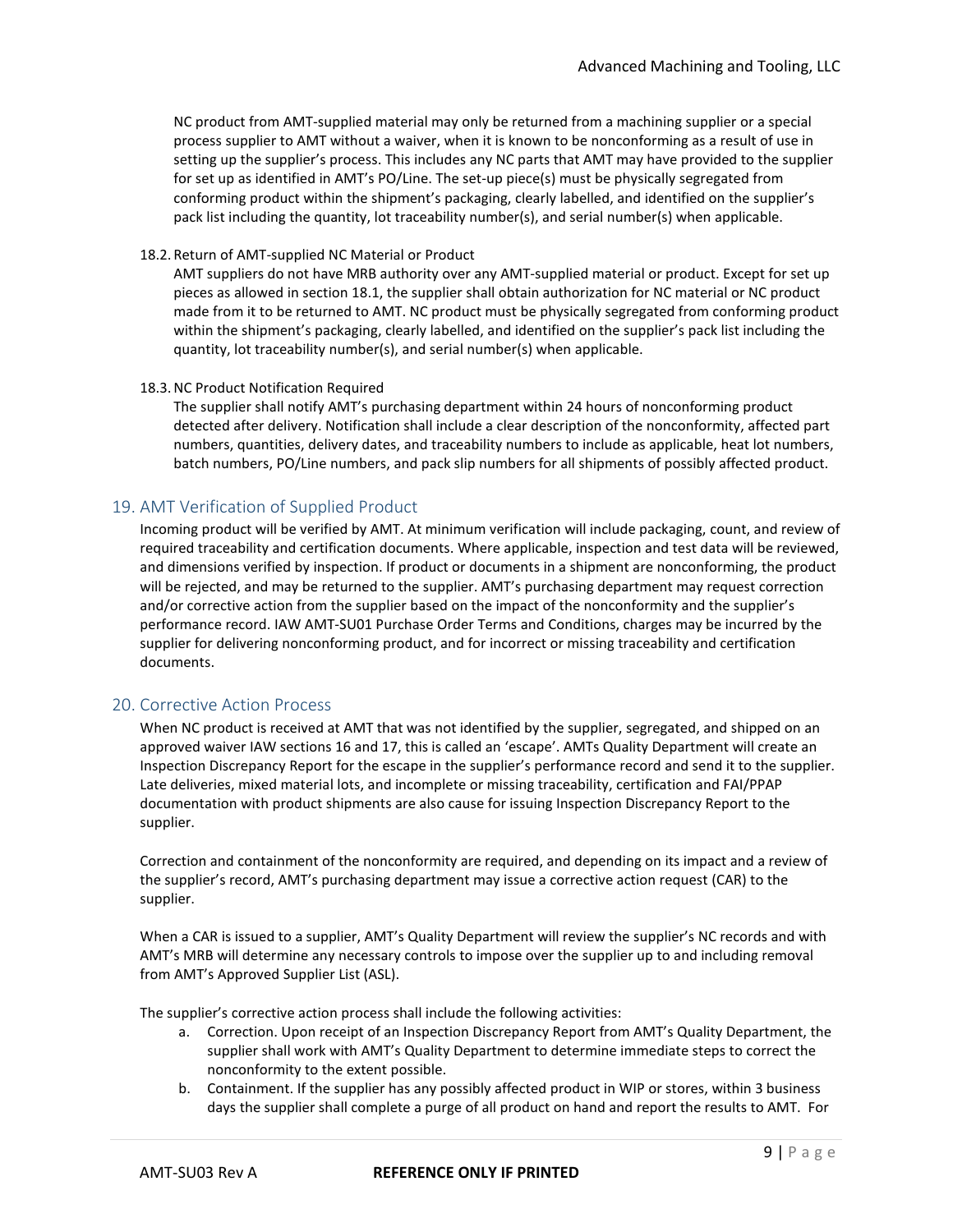NC product from AMT-supplied material may only be returned from a machining supplier or a special process supplier to AMT without a waiver, when it is known to be nonconforming as a result of use in setting up the supplier's process. This includes any NC parts that AMT may have provided to the supplier for set up as identified in AMT's PO/Line. The set-up piece(s) must be physically segregated from conforming product within the shipment's packaging, clearly labelled, and identified on the supplier's pack list including the quantity, lot traceability number(s), and serial number(s) when applicable.

#### 18.2. Return of AMT-supplied NC Material or Product

AMT suppliers do not have MRB authority over any AMT-supplied material or product. Except for set up pieces as allowed in section 18.1, the supplier shall obtain authorization for NC material or NC product made from it to be returned to AMT. NC product must be physically segregated from conforming product within the shipment's packaging, clearly labelled, and identified on the supplier's pack list including the quantity, lot traceability number(s), and serial number(s) when applicable.

#### 18.3.NC Product Notification Required

The supplier shall notify AMT's purchasing department within 24 hours of nonconforming product detected after delivery. Notification shall include a clear description of the nonconformity, affected part numbers, quantities, delivery dates, and traceability numbers to include as applicable, heat lot numbers, batch numbers, PO/Line numbers, and pack slip numbers for all shipments of possibly affected product.

## 19. AMT Verification of Supplied Product

Incoming product will be verified by AMT. At minimum verification will include packaging, count, and review of required traceability and certification documents. Where applicable, inspection and test data will be reviewed, and dimensions verified by inspection. If product or documents in a shipment are nonconforming, the product will be rejected, and may be returned to the supplier. AMT's purchasing department may request correction and/or corrective action from the supplier based on the impact of the nonconformity and the supplier's performance record. IAW AMT-SU01 Purchase Order Terms and Conditions, charges may be incurred by the supplier for delivering nonconforming product, and for incorrect or missing traceability and certification documents.

## 20. Corrective Action Process

When NC product is received at AMT that was not identified by the supplier, segregated, and shipped on an approved waiver IAW sections 16 and 17, this is called an 'escape'. AMTs Quality Department will create an Inspection Discrepancy Report for the escape in the supplier's performance record and send it to the supplier. Late deliveries, mixed material lots, and incomplete or missing traceability, certification and FAI/PPAP documentation with product shipments are also cause for issuing Inspection Discrepancy Report to the supplier.

Correction and containment of the nonconformity are required, and depending on its impact and a review of the supplier's record, AMT's purchasing department may issue a corrective action request (CAR) to the supplier.

When a CAR is issued to a supplier, AMT's Quality Department will review the supplier's NC records and with AMT's MRB will determine any necessary controls to impose over the supplier up to and including removal from AMT's Approved Supplier List (ASL).

The supplier's corrective action process shall include the following activities:

- a. Correction. Upon receipt of an Inspection Discrepancy Report from AMT's Quality Department, the supplier shall work with AMT's Quality Department to determine immediate steps to correct the nonconformity to the extent possible.
- b. Containment. If the supplier has any possibly affected product in WIP or stores, within 3 business days the supplier shall complete a purge of all product on hand and report the results to AMT. For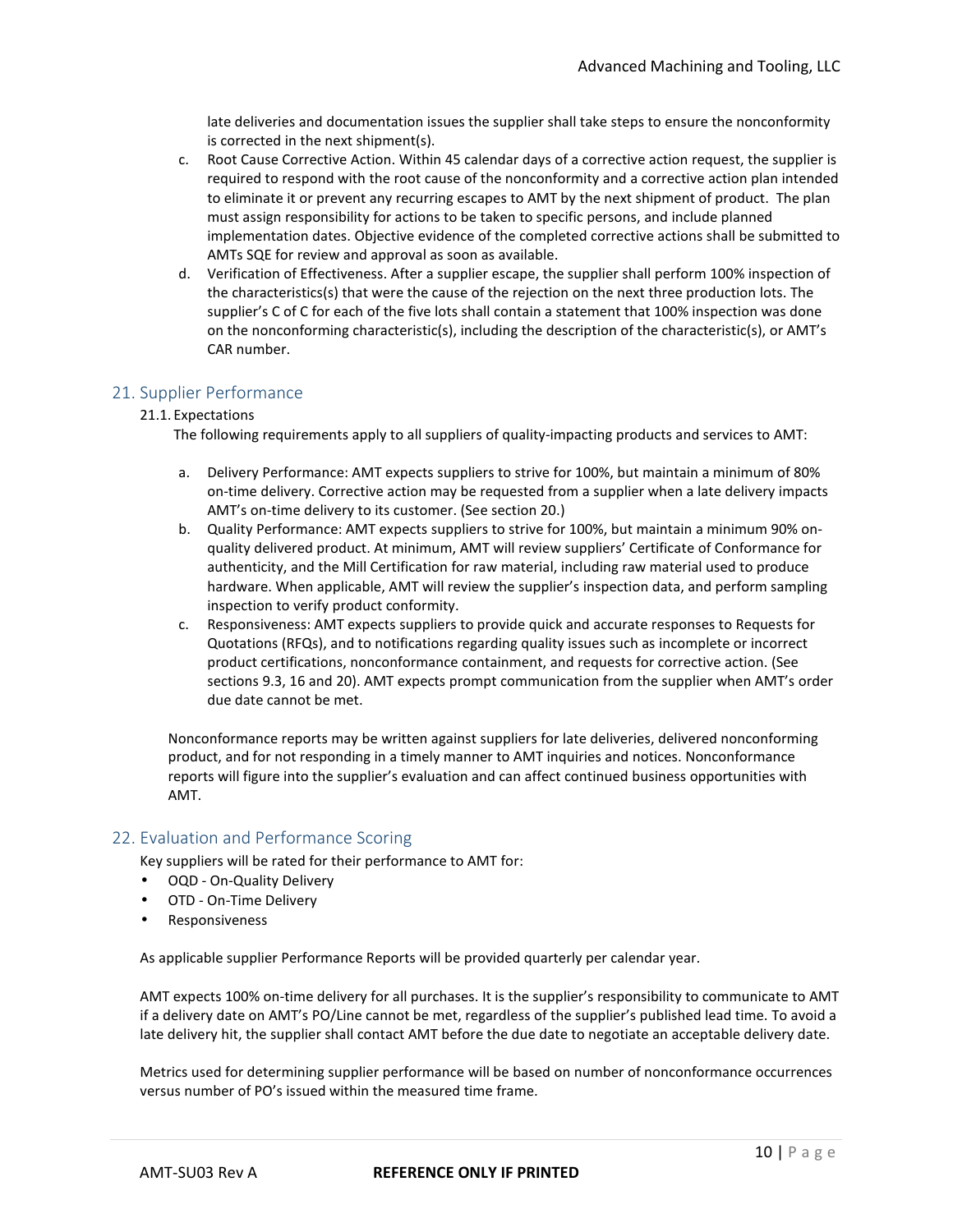late deliveries and documentation issues the supplier shall take steps to ensure the nonconformity is corrected in the next shipment(s).

- c. Root Cause Corrective Action. Within 45 calendar days of a corrective action request, the supplier is required to respond with the root cause of the nonconformity and a corrective action plan intended to eliminate it or prevent any recurring escapes to AMT by the next shipment of product. The plan must assign responsibility for actions to be taken to specific persons, and include planned implementation dates. Objective evidence of the completed corrective actions shall be submitted to AMTs SQE for review and approval as soon as available.
- d. Verification of Effectiveness. After a supplier escape, the supplier shall perform 100% inspection of the characteristics(s) that were the cause of the rejection on the next three production lots. The supplier's C of C for each of the five lots shall contain a statement that 100% inspection was done on the nonconforming characteristic(s), including the description of the characteristic(s), or AMT's CAR number.

## 21. Supplier Performance

#### 21.1. Expectations

The following requirements apply to all suppliers of quality-impacting products and services to AMT:

- a. Delivery Performance: AMT expects suppliers to strive for 100%, but maintain a minimum of 80% on-time delivery. Corrective action may be requested from a supplier when a late delivery impacts AMT's on-time delivery to its customer. (See section 20.)
- b. Quality Performance: AMT expects suppliers to strive for 100%, but maintain a minimum 90% onquality delivered product. At minimum, AMT will review suppliers' Certificate of Conformance for authenticity, and the Mill Certification for raw material, including raw material used to produce hardware. When applicable, AMT will review the supplier's inspection data, and perform sampling inspection to verify product conformity.
- c. Responsiveness: AMT expects suppliers to provide quick and accurate responses to Requests for Quotations (RFQs), and to notifications regarding quality issues such as incomplete or incorrect product certifications, nonconformance containment, and requests for corrective action. (See sections 9.3, 16 and 20). AMT expects prompt communication from the supplier when AMT's order due date cannot be met.

Nonconformance reports may be written against suppliers for late deliveries, delivered nonconforming product, and for not responding in a timely manner to AMT inquiries and notices. Nonconformance reports will figure into the supplier's evaluation and can affect continued business opportunities with AMT.

## 22. Evaluation and Performance Scoring

Key suppliers will be rated for their performance to AMT for:

- OQD On-Quality Delivery
- OTD On-Time Delivery
- Responsiveness

As applicable supplier Performance Reports will be provided quarterly per calendar year.

AMT expects 100% on-time delivery for all purchases. It is the supplier's responsibility to communicate to AMT if a delivery date on AMT's PO/Line cannot be met, regardless of the supplier's published lead time. To avoid a late delivery hit, the supplier shall contact AMT before the due date to negotiate an acceptable delivery date.

Metrics used for determining supplier performance will be based on number of nonconformance occurrences versus number of PO's issued within the measured time frame.